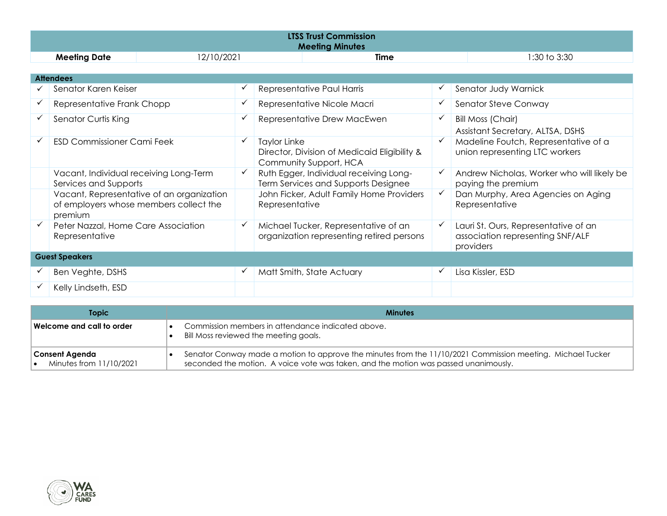|                     | <b>LTSS Trust Commission</b><br><b>Meeting Minutes</b> |             |              |  |  |
|---------------------|--------------------------------------------------------|-------------|--------------|--|--|
| <b>Meeting Date</b> | 12/10/2021                                             | <b>Time</b> | 1:30 to 3:30 |  |  |

|                       | <b>Attendees</b>                                                                               |              |                                                                                        |  |                                                                                       |
|-----------------------|------------------------------------------------------------------------------------------------|--------------|----------------------------------------------------------------------------------------|--|---------------------------------------------------------------------------------------|
|                       | Senator Karen Keiser                                                                           |              | Representative Paul Harris                                                             |  | Senator Judy Warnick                                                                  |
|                       | Representative Frank Chopp                                                                     |              | Representative Nicole Macri                                                            |  | Senator Steve Conway                                                                  |
|                       | Senator Curtis King                                                                            | $\checkmark$ | Representative Drew MacEwen                                                            |  | Bill Moss (Chair)<br>Assistant Secretary, ALTSA, DSHS                                 |
|                       | <b>ESD Commissioner Cami Feek</b>                                                              | $\checkmark$ | Taylor Linke<br>Director, Division of Medicaid Eligibility &<br>Community Support, HCA |  | Madeline Foutch, Representative of a<br>union representing LTC workers                |
|                       | Vacant, Individual receiving Long-Term<br>Services and Supports                                |              | Ruth Egger, Individual receiving Long-<br>Term Services and Supports Designee          |  | Andrew Nicholas, Worker who will likely be<br>paying the premium                      |
|                       | Vacant, Representative of an organization<br>of employers whose members collect the<br>premium |              | John Ficker, Adult Family Home Providers<br>Representative                             |  | Dan Murphy, Area Agencies on Aging<br>Representative                                  |
|                       | Peter Nazzal, Home Care Association<br>Representative                                          | ✓            | Michael Tucker, Representative of an<br>organization representing retired persons      |  | Lauri St. Ours, Representative of an<br>association representing SNF/ALF<br>providers |
| <b>Guest Speakers</b> |                                                                                                |              |                                                                                        |  |                                                                                       |
|                       | Ben Veghte, DSHS                                                                               | ✔            | Matt Smith, State Actuary                                                              |  | Lisa Kissler, ESD                                                                     |
|                       | Kelly Lindseth, ESD                                                                            |              |                                                                                        |  |                                                                                       |

| <b>Topic</b>                              | <b>Minutes</b>                                                                                                                                                                                    |
|-------------------------------------------|---------------------------------------------------------------------------------------------------------------------------------------------------------------------------------------------------|
| Welcome and call to order l               | Commission members in attendance indicated above.<br>Bill Moss reviewed the meeting goals.                                                                                                        |
| Consent Agenda<br>Minutes from 11/10/2021 | Senator Conway made a motion to approve the minutes from the 11/10/2021 Commission meeting. Michael Tucker<br>seconded the motion. A voice vote was taken, and the motion was passed unanimously. |

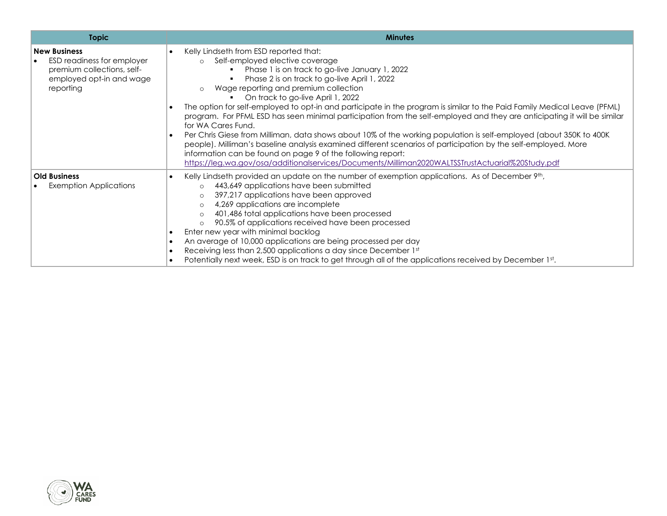| <b>Topic</b>                                                                                                                          | <b>Minutes</b>                                                                                                                                                                                                                                                                                                                                                                                                                                                                                                                                                                                                                                                                                                                                                                                                                                                                                                                                                                                                  |
|---------------------------------------------------------------------------------------------------------------------------------------|-----------------------------------------------------------------------------------------------------------------------------------------------------------------------------------------------------------------------------------------------------------------------------------------------------------------------------------------------------------------------------------------------------------------------------------------------------------------------------------------------------------------------------------------------------------------------------------------------------------------------------------------------------------------------------------------------------------------------------------------------------------------------------------------------------------------------------------------------------------------------------------------------------------------------------------------------------------------------------------------------------------------|
| <b>New Business</b><br>ESD readiness for employer<br>$\bullet$<br>premium collections, self-<br>employed opt-in and wage<br>reporting | Kelly Lindseth from ESD reported that:<br>$\bullet$<br>Self-employed elective coverage<br>$\circ$<br>Phase 1 is on track to go-live January 1, 2022<br>Phase 2 is on track to go-live April 1, 2022<br>Wage reporting and premium collection<br>$\circ$<br>On track to go-live April 1, 2022<br>The option for self-employed to opt-in and participate in the program is similar to the Paid Family Medical Leave (PFML)<br>$\bullet$<br>program. For PFML ESD has seen minimal participation from the self-employed and they are anticipating it will be similar<br>for WA Cares Fund.<br>Per Chris Giese from Milliman, data shows about 10% of the working population is self-employed (about 350K to 400K<br>$\bullet$<br>people). Milliman's baseline analysis examined different scenarios of participation by the self-employed. More<br>information can be found on page 9 of the following report:<br>https://leg.wa.gov/osa/additionalservices/Documents/Milliman2020WALTSSTrustActuarial%20Study.pdf |
| <b>Old Business</b><br><b>Exemption Applications</b>                                                                                  | Kelly Lindseth provided an update on the number of exemption applications. As of December 9th,<br>$\bullet$<br>443,649 applications have been submitted<br>$\circ$<br>397,217 applications have been approved<br>$\circ$<br>4,269 applications are incomplete<br>$\circ$<br>401,486 total applications have been processed<br>$\circ$<br>90.5% of applications received have been processed<br>$\circ$<br>Enter new year with minimal backlog<br>$\bullet$<br>An average of 10,000 applications are being processed per day<br>$\bullet$<br>Receiving less than 2,500 applications a day since December 1st<br>$\bullet$<br>Potentially next week, ESD is on track to get through all of the applications received by December 1st.<br>$\bullet$                                                                                                                                                                                                                                                                |

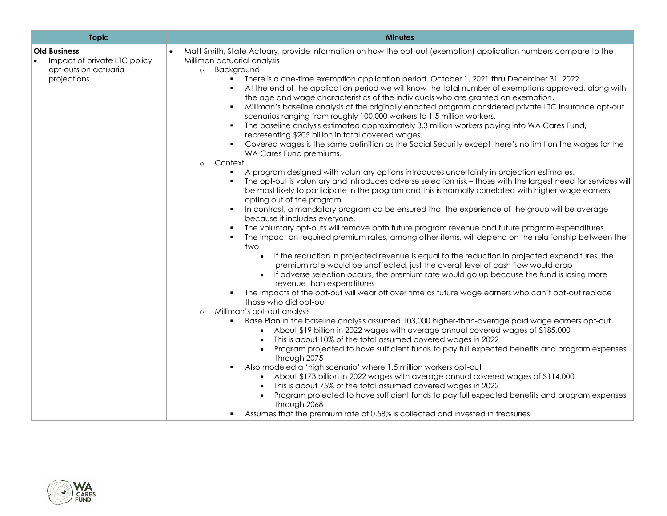| <b>Topic</b>                                                                                | <b>Minutes</b>                                                                                                                                                                                                                                                                                                                                                                                                                                                                                                                                                                                                                                                                                                                                                                                                                                                                                                                                                                                                                                                                                                                                                                                                                                                                                                                                                                                                                                                                                                                                                                                                                                                                                                                                                                                         |
|---------------------------------------------------------------------------------------------|--------------------------------------------------------------------------------------------------------------------------------------------------------------------------------------------------------------------------------------------------------------------------------------------------------------------------------------------------------------------------------------------------------------------------------------------------------------------------------------------------------------------------------------------------------------------------------------------------------------------------------------------------------------------------------------------------------------------------------------------------------------------------------------------------------------------------------------------------------------------------------------------------------------------------------------------------------------------------------------------------------------------------------------------------------------------------------------------------------------------------------------------------------------------------------------------------------------------------------------------------------------------------------------------------------------------------------------------------------------------------------------------------------------------------------------------------------------------------------------------------------------------------------------------------------------------------------------------------------------------------------------------------------------------------------------------------------------------------------------------------------------------------------------------------------|
| <b>Old Business</b><br>Impact of private LTC policy<br>opt-outs on actuarial<br>projections | Matt Smith, State Actuary, provide information on how the opt-out (exemption) application numbers compare to the<br>Milliman actuarial analysis<br>Background<br>$\circ$<br>There is a one-time exemption application period, October 1, 2021 thru December 31, 2022.<br>At the end of the application period we will know the total number of exemptions approved, along with<br>the age and wage characteristics of the individuals who are granted an exemption.<br>Milliman's baseline analysis of the originally enacted program considered private LTC insurance opt-out<br>scenarios ranging from roughly 100,000 workers to 1.5 million workers.<br>The baseline analysis estimated approximately 3.3 million workers paying into WA Cares Fund,<br>representing \$205 billion in total covered wages.<br>Covered wages is the same definition as the Social Security except there's no limit on the wages for the<br>WA Cares Fund premiums.<br>Context<br>$\circ$<br>A program designed with voluntary options introduces uncertainty in projection estimates.<br>The opt-out is voluntary and introduces adverse selection risk - those with the largest need for services will<br>be most likely to participate in the program and this is normally correlated with higher wage earners<br>opting out of the program.<br>In contrast, a mandatory program ca be ensured that the experience of the group will be average<br>because it includes everyone.<br>The voluntary opt-outs will remove both future program revenue and future program expenditures.<br>The impact on required premium rates, among other items, will depend on the relationship between the<br>two<br>If the reduction in projected revenue is equal to the reduction in projected expenditures, the<br>$\bullet$ |
|                                                                                             | premium rate would be unaffected, just the overall level of cash flow would drop<br>If adverse selection occurs, the premium rate would go up because the fund is losing more<br>$\bullet$<br>revenue than expenditures<br>The impacts of the opt-out will wear off over time as future wage earners who can't opt-out replace<br>those who did opt-out<br>Milliman's opt-out analysis<br>$\circ$<br>Base Plan in the baseline analysis assumed 103,000 higher-than-average paid wage earners opt-out<br>About \$19 billion in 2022 wages with average annual covered wages of \$185,000<br>This is about 10% of the total assumed covered wages in 2022<br>$\bullet$<br>Program projected to have sufficient funds to pay full expected benefits and program expenses<br>through 2075<br>Also modeled a 'high scenario' where 1.5 million workers opt-out<br>About \$173 billion in 2022 wages with average annual covered wages of \$114,000                                                                                                                                                                                                                                                                                                                                                                                                                                                                                                                                                                                                                                                                                                                                                                                                                                                         |
|                                                                                             | This is about 75% of the total assumed covered wages in 2022<br>$\bullet$<br>Program projected to have sufficient funds to pay full expected benefits and program expenses<br>through 2068<br>Assumes that the premium rate of 0.58% is collected and invested in treasuries                                                                                                                                                                                                                                                                                                                                                                                                                                                                                                                                                                                                                                                                                                                                                                                                                                                                                                                                                                                                                                                                                                                                                                                                                                                                                                                                                                                                                                                                                                                           |

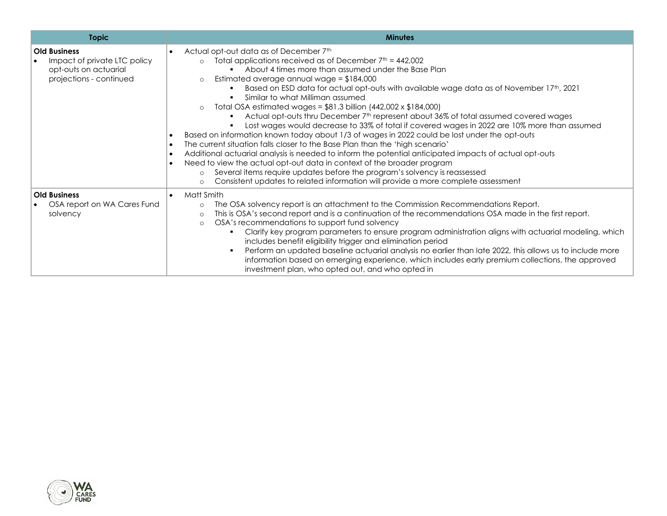| <b>Topic</b>                                                                                            | <b>Minutes</b>                                                                                                                                                                                                                                                                                                                                                                                                                                                                                                                                                                                                                                                                                                                                                                                                                                                                                                                                                                                                                                                                                                                                                                                                                                                                     |
|---------------------------------------------------------------------------------------------------------|------------------------------------------------------------------------------------------------------------------------------------------------------------------------------------------------------------------------------------------------------------------------------------------------------------------------------------------------------------------------------------------------------------------------------------------------------------------------------------------------------------------------------------------------------------------------------------------------------------------------------------------------------------------------------------------------------------------------------------------------------------------------------------------------------------------------------------------------------------------------------------------------------------------------------------------------------------------------------------------------------------------------------------------------------------------------------------------------------------------------------------------------------------------------------------------------------------------------------------------------------------------------------------|
| <b>Old Business</b><br>Impact of private LTC policy<br>opt-outs on actuarial<br>projections - continued | Actual opt-out data as of December 7th<br>$\bullet$<br>Total applications received as of December $7th = 442,002$<br>$\circ$<br>About 4 times more than assumed under the Base Plan<br>Estimated average annual wage = $$184,000$<br>$\circ$<br>Based on ESD data for actual opt-outs with available wage data as of November 17th, 2021<br>Similar to what Milliman assumed<br>Total OSA estimated wages = $$81.3$ billion (442,002 x $$184,000$ )<br>$\circ$<br>Actual opt-outs thru December 7 <sup>th</sup> represent about 36% of total assumed covered wages<br>Lost wages would decrease to 33% of total if covered wages in 2022 are 10% more than assumed<br>Based on information known today about 1/3 of wages in 2022 could be lost under the opt-outs<br>$\bullet$<br>The current situation falls closer to the Base Plan than the 'high scenario'<br>$\bullet$<br>Additional actuarial analysis is needed to inform the potential anticipated impacts of actual opt-outs<br>$\bullet$<br>Need to view the actual opt-out data in context of the broader program<br>$\bullet$<br>Several items require updates before the program's solvency is reassessed<br>$\circ$<br>Consistent updates to related information will provide a more complete assessment<br>$\circ$ |
| <b>Old Business</b><br>OSA report on WA Cares Fund<br>solvency                                          | Matt Smith<br>$\bullet$<br>The OSA solvency report is an attachment to the Commission Recommendations Report.<br>$\circ$<br>This is OSA's second report and is a continuation of the recommendations OSA made in the first report.<br>$\circ$<br>OSA's recommendations to support fund solvency<br>$\circ$<br>Clarify key program parameters to ensure program administration aligns with actuarial modeling, which<br>includes benefit eligibility trigger and elimination period<br>Perform an updated baseline actuarial analysis no earlier than late 2022, this allows us to include more<br>information based on emerging experience, which includes early premium collections, the approved<br>investment plan, who opted out, and who opted in                                                                                                                                                                                                                                                                                                                                                                                                                                                                                                                             |

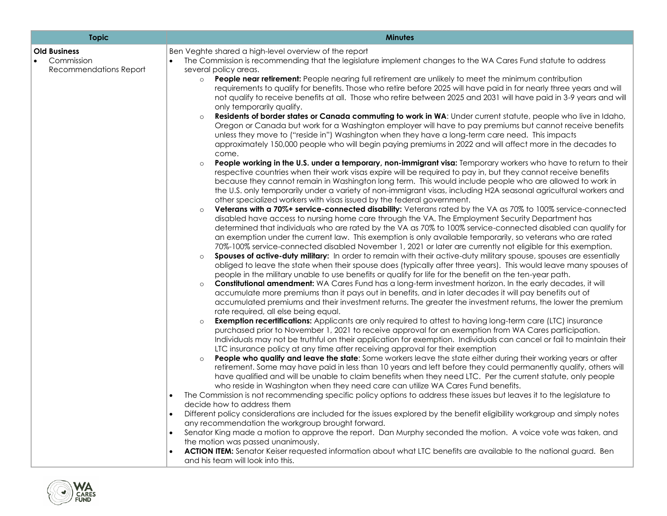| <b>Topic</b>                                                             | <b>Minutes</b>                                                                                                                                                                                                                                                                                                                                                                                                                                                                                                                                                                                                                                                                                                                                                                                                                                                                                                                                                                                                                                                                                                                                                                                                                                                                                                                                                                                                                                                                                                                                                                                                                                                                                                                                                                                                                                                                                                                                                                                                                                                                                                                                                                                                                                                                                                                                                                                                                                                                                                                                                                                                                                                                                                                                                                                                                                                                                                                                                                                                                                                                                                                                                                                                                                                                                                                                                                                                                                                                                                                                                                                                                                                                                                                                                                                                                                                                                                                                                                                                                                                                                                                                                                                                                                                                                                                                                                                                                                                                                                                         |
|--------------------------------------------------------------------------|----------------------------------------------------------------------------------------------------------------------------------------------------------------------------------------------------------------------------------------------------------------------------------------------------------------------------------------------------------------------------------------------------------------------------------------------------------------------------------------------------------------------------------------------------------------------------------------------------------------------------------------------------------------------------------------------------------------------------------------------------------------------------------------------------------------------------------------------------------------------------------------------------------------------------------------------------------------------------------------------------------------------------------------------------------------------------------------------------------------------------------------------------------------------------------------------------------------------------------------------------------------------------------------------------------------------------------------------------------------------------------------------------------------------------------------------------------------------------------------------------------------------------------------------------------------------------------------------------------------------------------------------------------------------------------------------------------------------------------------------------------------------------------------------------------------------------------------------------------------------------------------------------------------------------------------------------------------------------------------------------------------------------------------------------------------------------------------------------------------------------------------------------------------------------------------------------------------------------------------------------------------------------------------------------------------------------------------------------------------------------------------------------------------------------------------------------------------------------------------------------------------------------------------------------------------------------------------------------------------------------------------------------------------------------------------------------------------------------------------------------------------------------------------------------------------------------------------------------------------------------------------------------------------------------------------------------------------------------------------------------------------------------------------------------------------------------------------------------------------------------------------------------------------------------------------------------------------------------------------------------------------------------------------------------------------------------------------------------------------------------------------------------------------------------------------------------------------------------------------------------------------------------------------------------------------------------------------------------------------------------------------------------------------------------------------------------------------------------------------------------------------------------------------------------------------------------------------------------------------------------------------------------------------------------------------------------------------------------------------------------------------------------------------------------------------------------------------------------------------------------------------------------------------------------------------------------------------------------------------------------------------------------------------------------------------------------------------------------------------------------------------------------------------------------------------------------------------------------------------------------------------------------------------|
| <b>Old Business</b><br>Commission<br>$\bullet$<br>Recommendations Report | Ben Veghte shared a high-level overview of the report<br>The Commission is recommending that the legislature implement changes to the WA Cares Fund statute to address<br>$\bullet$<br>several policy areas.<br>People near retirement: People nearing full retirement are unlikely to meet the minimum contribution<br>$\circ$<br>requirements to qualify for benefits. Those who retire before 2025 will have paid in for nearly three years and will<br>not qualify to receive benefits at all. Those who retire between 2025 and 2031 will have paid in 3-9 years and will<br>only temporarily qualify.<br>Residents of border states or Canada commuting to work in WA: Under current statute, people who live in Idaho,<br>Oregon or Canada but work for a Washington employer will have to pay premiums but cannot receive benefits<br>unless they move to ("reside in") Washington when they have a long-term care need. This impacts<br>approximately 150,000 people who will begin paying premiums in 2022 and will affect more in the decades to<br>come.<br>People working in the U.S. under a temporary, non-immigrant visa: Temporary workers who have to return to their<br>$\circ$<br>respective countries when their work visas expire will be required to pay in, but they cannot receive benefits<br>because they cannot remain in Washington long term. This would include people who are allowed to work in<br>the U.S. only temporarily under a variety of non-immigrant visas, including H2A seasonal agricultural workers and<br>other specialized workers with visas issued by the federal government.<br><b>Veterans with a 70%+ service-connected disability:</b> Veterans rated by the VA as 70% to 100% service-connected<br>disabled have access to nursing home care through the VA. The Employment Security Department has<br>determined that individuals who are rated by the VA as 70% to 100% service-connected disabled can qualify for<br>an exemption under the current law. This exemption is only available temporarily, so veterans who are rated<br>70%-100% service-connected disabled November 1, 2021 or later are currently not eligible for this exemption.<br>Spouses of active-duty military: In order to remain with their active-duty military spouse, spouses are essentially<br>obliged to leave the state when their spouse does (typically after three years). This would leave many spouses of<br>people in the military unable to use benefits or qualify for life for the benefit on the ten-year path.<br>Constitutional amendment: WA Cares Fund has a long-term investment horizon. In the early decades, it will<br>$\circ$<br>accumulate more premiums than it pays out in benefits, and in later decades it will pay benefits out of<br>accumulated premiums and their investment returns. The greater the investment returns, the lower the premium<br>rate required, all else being equal.<br><b>Exemption recertifications:</b> Applicants are only required to attest to having long-term care (LTC) insurance<br>purchased prior to November 1, 2021 to receive approval for an exemption from WA Cares participation.<br>Individuals may not be truthful on their application for exemption. Individuals can cancel or fail to maintain their<br>LTC insurance policy at any time after receiving approval for their exemption<br>People who qualify and leave the state: Some workers leave the state either during their working years or after<br>retirement. Some may have paid in less than 10 years and left before they could permanently qualify, others will<br>have qualified and will be unable to claim benefits when they need LTC. Per the current statute, only people<br>who reside in Washington when they need care can utilize WA Cares Fund benefits.<br>The Commission is not recommending specific policy options to address these issues but leaves it to the legislature to<br>$\bullet$<br>decide how to address them<br>Different policy considerations are included for the issues explored by the benefit eligibility workgroup and simply notes<br>$\bullet$<br>any recommendation the workgroup brought forward.<br>Senator King made a motion to approve the report. Dan Murphy seconded the motion. A voice vote was taken, and<br>the motion was passed unanimously.<br>ACTION ITEM: Senator Keiser requested information about what LTC benefits are available to the national guard. Ben<br>and his team will look into this. |
|                                                                          |                                                                                                                                                                                                                                                                                                                                                                                                                                                                                                                                                                                                                                                                                                                                                                                                                                                                                                                                                                                                                                                                                                                                                                                                                                                                                                                                                                                                                                                                                                                                                                                                                                                                                                                                                                                                                                                                                                                                                                                                                                                                                                                                                                                                                                                                                                                                                                                                                                                                                                                                                                                                                                                                                                                                                                                                                                                                                                                                                                                                                                                                                                                                                                                                                                                                                                                                                                                                                                                                                                                                                                                                                                                                                                                                                                                                                                                                                                                                                                                                                                                                                                                                                                                                                                                                                                                                                                                                                                                                                                                                        |

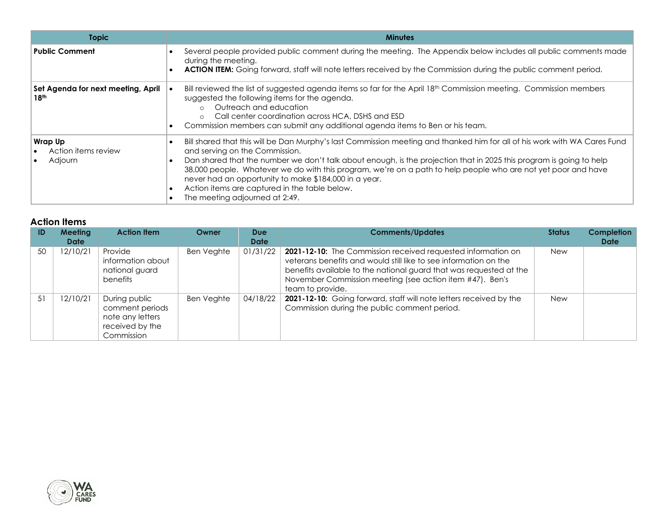| <b>Topic</b>                                           | <b>Minutes</b>                                                                                                                                                                                                                                                                                                                                                                                                                                                                                                                                  |
|--------------------------------------------------------|-------------------------------------------------------------------------------------------------------------------------------------------------------------------------------------------------------------------------------------------------------------------------------------------------------------------------------------------------------------------------------------------------------------------------------------------------------------------------------------------------------------------------------------------------|
| <b>Public Comment</b>                                  | Several people provided public comment during the meeting. The Appendix below includes all public comments made<br>during the meeting.<br><b>ACTION ITEM:</b> Going forward, staff will note letters received by the Commission during the public comment period.                                                                                                                                                                                                                                                                               |
| Set Agenda for next meeting, April<br>18 <sup>th</sup> | Bill reviewed the list of suggested agenda items so far for the April 18 <sup>th</sup> Commission meeting. Commission members<br>suggested the following items for the agenda.<br>Outreach and education<br>$\circ$<br>Call center coordination across HCA, DSHS and ESD<br>$\Omega$<br>Commission members can submit any additional agenda items to Ben or his team.                                                                                                                                                                           |
| <b>Wrap Up</b><br>Action items review<br>Adjourn       | Bill shared that this will be Dan Murphy's last Commission meeting and thanked him for all of his work with WA Cares Fund<br>and serving on the Commission.<br>Dan shared that the number we don't talk about enough, is the projection that in 2025 this program is going to help<br>38,000 people. Whatever we do with this program, we're on a path to help people who are not yet poor and have<br>never had an opportunity to make \$184,000 in a year.<br>Action items are captured in the table below.<br>The meeting adjourned at 2:49. |

## **Action Items**

| ID | <b>Meeting</b><br><b>Date</b> | <b>Action Item</b>                                                                    | Owner      | <b>Due</b><br><b>Date</b> | <b>Comments/Updates</b>                                                                                                                                                                                                                                                                | <b>Status</b> | <b>Completion</b><br><b>Date</b> |
|----|-------------------------------|---------------------------------------------------------------------------------------|------------|---------------------------|----------------------------------------------------------------------------------------------------------------------------------------------------------------------------------------------------------------------------------------------------------------------------------------|---------------|----------------------------------|
| 50 | 12/10/21                      | Provide<br>information about<br>national guard<br>benefits                            | Ben Veghte | 01/31/22                  | 2021-12-10: The Commission received requested information on<br>veterans benefits and would still like to see information on the<br>benefits available to the national guard that was requested at the<br>November Commission meeting (see action item #47). Ben's<br>team to provide. | <b>New</b>    |                                  |
| 51 | 12/10/21                      | During public<br>comment periods<br>note any letters<br>received by the<br>Commission | Ben Veghte | 04/18/22                  | 2021-12-10: Going forward, staff will note letters received by the<br>Commission during the public comment period.                                                                                                                                                                     | <b>New</b>    |                                  |

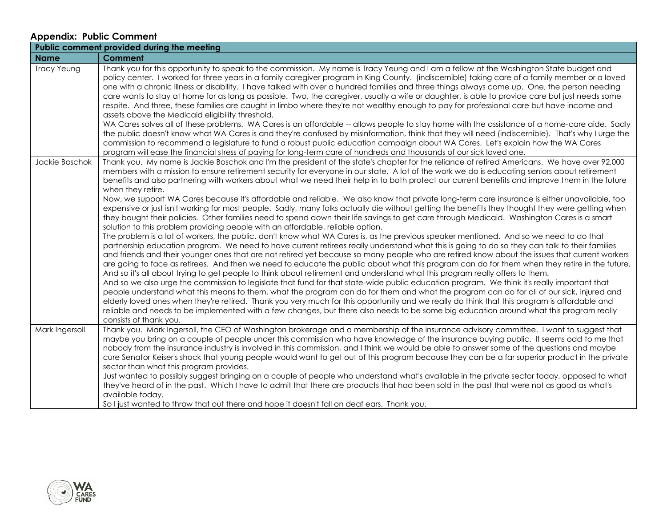## **Appendix: Public Comment**

|                | Public comment provided during the meeting                                                                                                                                                                                                                                                                                                                                                                                                                                                                                                                                                                                                                                                                                                                                                                                                                                                                                                                                                                                                                                                                                                                                                                                                                                                                                                                                                                                                                                                                                                                                                                                                                                                                                                                                                                                                                                                                                                                                                                                                                                                                                                                                                                                                                                                                                                           |
|----------------|------------------------------------------------------------------------------------------------------------------------------------------------------------------------------------------------------------------------------------------------------------------------------------------------------------------------------------------------------------------------------------------------------------------------------------------------------------------------------------------------------------------------------------------------------------------------------------------------------------------------------------------------------------------------------------------------------------------------------------------------------------------------------------------------------------------------------------------------------------------------------------------------------------------------------------------------------------------------------------------------------------------------------------------------------------------------------------------------------------------------------------------------------------------------------------------------------------------------------------------------------------------------------------------------------------------------------------------------------------------------------------------------------------------------------------------------------------------------------------------------------------------------------------------------------------------------------------------------------------------------------------------------------------------------------------------------------------------------------------------------------------------------------------------------------------------------------------------------------------------------------------------------------------------------------------------------------------------------------------------------------------------------------------------------------------------------------------------------------------------------------------------------------------------------------------------------------------------------------------------------------------------------------------------------------------------------------------------------------|
| <b>Name</b>    | Comment                                                                                                                                                                                                                                                                                                                                                                                                                                                                                                                                                                                                                                                                                                                                                                                                                                                                                                                                                                                                                                                                                                                                                                                                                                                                                                                                                                                                                                                                                                                                                                                                                                                                                                                                                                                                                                                                                                                                                                                                                                                                                                                                                                                                                                                                                                                                              |
| Tracy Yeung    | Thank you for this opportunity to speak to the commission. My name is Tracy Yeung and I am a fellow at the Washington State budget and<br>policy center. I worked for three years in a family caregiver program in King County. (indiscernible) taking care of a family member or a loved<br>one with a chronic illness or disability. I have talked with over a hundred families and three things always come up. One, the person needing<br>care wants to stay at home for as long as possible. Two, the caregiver, usually a wife or daughter, is able to provide care but just needs some<br>respite. And three, these families are caught in limbo where they're not wealthy enough to pay for professional care but have income and<br>assets above the Medicaid eligibility threshold.<br>WA Cares solves all of these problems. WA Cares is an affordable -- allows people to stay home with the assistance of a home-care aide. Sadly<br>the public doesn't know what WA Cares is and they're confused by misinformation, think that they will need (indiscernible). That's why I urge the<br>commission to recommend a legislature to fund a robust public education campaign about WA Cares. Let's explain how the WA Cares<br>program will ease the financial stress of paying for long-term care of hundreds and thousands of our sick loved one.                                                                                                                                                                                                                                                                                                                                                                                                                                                                                                                                                                                                                                                                                                                                                                                                                                                                                                                                                                                       |
| Jackie Boschok | Thank you. My name is Jackie Boschok and I'm the president of the state's chapter for the reliance of retired Americans. We have over 92,000<br>members with a mission to ensure retirement security for everyone in our state. A lot of the work we do is educating seniors about retirement<br>benefits and also partnering with workers about what we need their help in to both protect our current benefits and improve them in the future<br>when they retire.<br>Now, we support WA Cares because it's affordable and reliable. We also know that private long-term care insurance is either unavailable, too<br>expensive or just isn't working for most people. Sadly, many folks actually die without getting the benefits they thought they were getting when<br>they bought their policies. Other families need to spend down their life savings to get care through Medicaid. Washington Cares is a smart<br>solution to this problem providing people with an affordable, reliable option.<br>The problem is a lot of workers, the public, don't know what WA Cares is, as the previous speaker mentioned. And so we need to do that<br>partnership education program. We need to have current retirees really understand what this is going to do so they can talk to their families<br>and friends and their younger ones that are not retired yet because so many people who are retired know about the issues that current workers<br>are going to face as retirees. And then we need to educate the public about what this program can do for them when they retire in the future.<br>And so it's all about trying to get people to think about retirement and understand what this program really offers to them.<br>And so we also urge the commission to legislate that fund for that state-wide public education program. We think it's really important that<br>people understand what this means to them, what the program can do for them and what the program can do for all of our sick, injured and<br>elderly loved ones when they're retired. Thank you very much for this opportunity and we really do think that this program is affordable and<br>reliable and needs to be implemented with a few changes, but there also needs to be some big education around what this program really<br>consists of thank you. |
| Mark Ingersoll | Thank you. Mark Ingersoll, the CEO of Washington brokerage and a membership of the insurance advisory committee. I want to suggest that<br>maybe you bring on a couple of people under this commission who have knowledge of the insurance buying public. It seems odd to me that<br>nobody from the insurance industry is involved in this commission, and I think we would be able to answer some of the questions and maybe<br>cure Senator Keiser's shock that young people would want to get out of this program because they can be a far superior product in the private<br>sector than what this program provides.<br>Just wanted to possibly suggest bringing on a couple of people who understand what's available in the private sector today, opposed to what<br>they've heard of in the past. Which I have to admit that there are products that had been sold in the past that were not as good as what's<br>available today.<br>So I just wanted to throw that out there and hope it doesn't fall on deaf ears. Thank you.                                                                                                                                                                                                                                                                                                                                                                                                                                                                                                                                                                                                                                                                                                                                                                                                                                                                                                                                                                                                                                                                                                                                                                                                                                                                                                            |

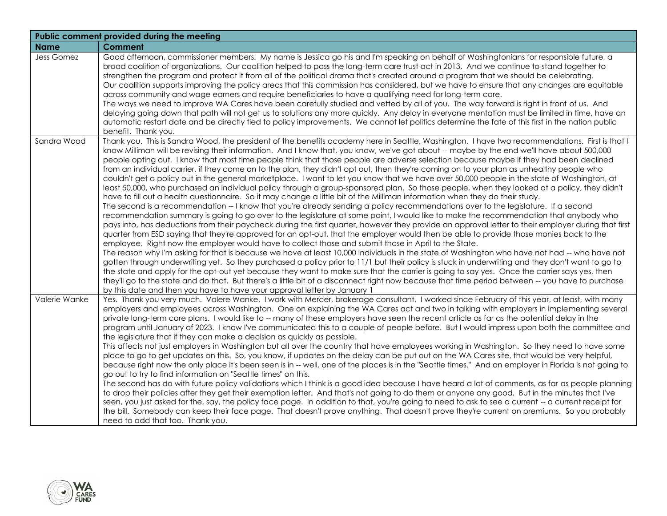| Public comment provided during the meeting |                                                                                                                                                                                                                                                                                                                                                                                                                                                                                                                                                                                                                                                                                                                                                                                                                                                                                                                                                                                                                                                                                                                                                                                                                                                                                                                                                                                                                                                                                                                                                                                                                                                                                                                                                                                                                                                                                                                                                                                                                                                                                                                                                                                                                                                                                                                                                                                              |  |  |
|--------------------------------------------|----------------------------------------------------------------------------------------------------------------------------------------------------------------------------------------------------------------------------------------------------------------------------------------------------------------------------------------------------------------------------------------------------------------------------------------------------------------------------------------------------------------------------------------------------------------------------------------------------------------------------------------------------------------------------------------------------------------------------------------------------------------------------------------------------------------------------------------------------------------------------------------------------------------------------------------------------------------------------------------------------------------------------------------------------------------------------------------------------------------------------------------------------------------------------------------------------------------------------------------------------------------------------------------------------------------------------------------------------------------------------------------------------------------------------------------------------------------------------------------------------------------------------------------------------------------------------------------------------------------------------------------------------------------------------------------------------------------------------------------------------------------------------------------------------------------------------------------------------------------------------------------------------------------------------------------------------------------------------------------------------------------------------------------------------------------------------------------------------------------------------------------------------------------------------------------------------------------------------------------------------------------------------------------------------------------------------------------------------------------------------------------------|--|--|
| <b>Name</b>                                | Comment                                                                                                                                                                                                                                                                                                                                                                                                                                                                                                                                                                                                                                                                                                                                                                                                                                                                                                                                                                                                                                                                                                                                                                                                                                                                                                                                                                                                                                                                                                                                                                                                                                                                                                                                                                                                                                                                                                                                                                                                                                                                                                                                                                                                                                                                                                                                                                                      |  |  |
| <b>Jess Gomez</b>                          | Good afternoon, commissioner members. My name is Jessica go his and I'm speaking on behalf of Washingtonians for responsible future, a<br>broad coalition of organizations. Our coalition helped to pass the long-term care trust act in 2013. And we continue to stand together to<br>strengthen the program and protect it from all of the political drama that's created around a program that we should be celebrating.<br>Our coalition supports improving the policy areas that this commission has considered, but we have to ensure that any changes are equitable<br>across community and wage earners and require beneficiaries to have a qualifying need for long-term care.<br>The ways we need to improve WA Cares have been carefully studied and vetted by all of you. The way forward is right in front of us. And<br>delaying going down that path will not get us to solutions any more quickly. Any delay in everyone mentation must be limited in time, have an<br>automatic restart date and be directly tied to policy improvements. We cannot let politics determine the fate of this first in the nation public<br>benefit. Thank you.                                                                                                                                                                                                                                                                                                                                                                                                                                                                                                                                                                                                                                                                                                                                                                                                                                                                                                                                                                                                                                                                                                                                                                                                                               |  |  |
| Sandra Wood                                | Thank you. This is Sandra Wood, the president of the benefits academy here in Seattle, Washington. I have two recommendations. First is that I<br>know Milliman will be revising their information. And I know that, you know, we've got about -- maybe by the end we'll have about 500,000<br>people opting out. I know that most time people think that those people are adverse selection because maybe if they had been declined<br>from an individual carrier, if they come on to the plan, they didn't opt out, then they're coming on to your plan as unhealthy people who<br>couldn't get a policy out in the general marketplace. I want to let you know that we have over 50,000 people in the state of Washington, at<br>least 50,000, who purchased an individual policy through a group-sponsored plan. So those people, when they looked at a policy, they didn't<br>have to fill out a health questionnaire. So it may change a little bit of the Milliman information when they do their study.<br>The second is a recommendation -- I know that you're already sending a policy recommendations over to the legislature. If a second<br>recommendation summary is going to go over to the legislature at some point, I would like to make the recommendation that anybody who<br>pays into, has deductions from their paycheck during the first quarter, however they provide an approval letter to their employer during that first<br>quarter from ESD saying that they're approved for an opt-out, that the employer would then be able to provide those monies back to the<br>employee. Right now the employer would have to collect those and submit those in April to the State.<br>The reason why I'm asking for that is because we have at least 10,000 individuals in the state of Washington who have not had -- who have not<br>gotten through underwriting yet. So they purchased a policy prior to 11/1 but their policy is stuck in underwriting and they don't want to go to<br>the state and apply for the opt-out yet because they want to make sure that the carrier is going to say yes. Once the carrier says yes, then<br>they'll go to the state and do that. But there's a little bit of a disconnect right now because that time period between -- you have to purchase<br>by this date and then you have to have your approval letter by January 1 |  |  |
| Valerie Wanke                              | Yes. Thank you very much. Valere Wanke. I work with Mercer, brokerage consultant. I worked since February of this year, at least, with many<br>employers and employees across Washington. One on explaining the WA Cares act and two in talking with employers in implementing several<br>private long-term care plans. I would like to -- many of these employers have seen the recent article as far as the potential delay in the<br>program until January of 2023. I know I've communicated this to a couple of people before. But I would impress upon both the committee and<br>the legislature that if they can make a decision as quickly as possible.<br>This affects not just employers in Washington but all over the country that have employees working in Washington. So they need to have some<br>place to go to get updates on this. So, you know, if updates on the delay can be put out on the WA Cares site, that would be very helpful,<br>because right now the only place it's been seen is in -- well, one of the places is in the "Seattle times." And an employer in Florida is not going to<br>go out to try to find information on "Seattle times" on this.<br>The second has do with future policy validations which I think is a good idea because I have heard a lot of comments, as far as people planning<br>to drop their policies after they get their exemption letter. And that's not going to do them or anyone any good. But in the minutes that I've<br>seen, you just asked for the, say, the policy face page. In addition to that, you're going to need to ask to see a current -- a current receipt for<br>the bill. Somebody can keep their face page. That doesn't prove anything. That doesn't prove they're current on premiums. So you probably<br>need to add that too. Thank you.                                                                                                                                                                                                                                                                                                                                                                                                                                                                                                                                                          |  |  |